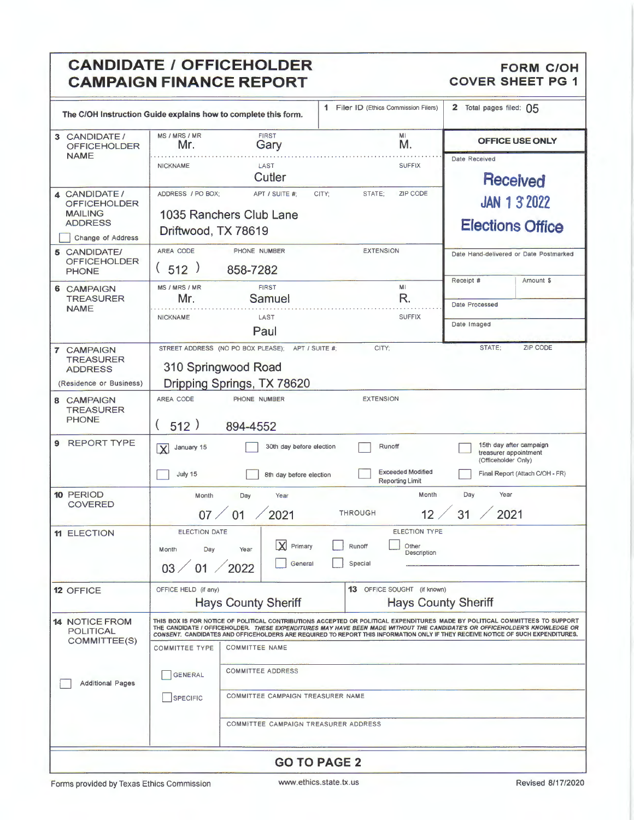## **CANDIDATE / OFFICEHOLDER** FORM COUR FORM COUNCANDING FINANCE REPORT **CAMPAIGN FINANCE REPORT**

| The C/OH Instruction Guide explains how to complete this form.                               |                                                               |                                                                                                           | 1 Filer ID (Ethics Commission Filers)                             | 2 Total pages filed: 05                                                                                                                                                                                                                                                                                                                                                                              |  |  |
|----------------------------------------------------------------------------------------------|---------------------------------------------------------------|-----------------------------------------------------------------------------------------------------------|-------------------------------------------------------------------|------------------------------------------------------------------------------------------------------------------------------------------------------------------------------------------------------------------------------------------------------------------------------------------------------------------------------------------------------------------------------------------------------|--|--|
| <b>CANDIDATE /</b><br>3<br><b>OFFICEHOLDER</b>                                               | MS / MRS / MR<br>Mr.                                          | <b>FIRST</b><br>Gary                                                                                      | MI<br>M.                                                          | <b>OFFICE USE ONLY</b>                                                                                                                                                                                                                                                                                                                                                                               |  |  |
| <b>NAME</b>                                                                                  | <b>NICKNAME</b>                                               | LAST<br>Cutler                                                                                            | <b>SUFFIX</b>                                                     | Date Received<br>Received                                                                                                                                                                                                                                                                                                                                                                            |  |  |
| 4 CANDIDATE/<br><b>OFFICEHOLDER</b><br><b>MAILING</b><br><b>ADDRESS</b><br>Change of Address | ADDRESS / PO BOX:<br>Driftwood, TX 78619                      | APT / SUITE #:<br>1035 Ranchers Club Lane                                                                 | ZIP CODE<br>CITY;<br>STATE;                                       | <b>JAN 1 3 2022</b><br><b>Elections Office</b>                                                                                                                                                                                                                                                                                                                                                       |  |  |
| 5 CANDIDATE/<br><b>OFFICEHOLDER</b><br><b>PHONE</b>                                          | AREA CODE<br>(512)                                            | PHONE NUMBER<br>858-7282                                                                                  | <b>EXTENSION</b>                                                  | Date Hand-delivered or Date Postmarked<br>Receipt #<br>Amount \$                                                                                                                                                                                                                                                                                                                                     |  |  |
| 6 CAMPAIGN<br><b>TREASURER</b>                                                               | MS / MRS / MR<br>Mr.                                          | <b>FIRST</b><br>Samuel                                                                                    | MI<br>R.                                                          | Date Processed                                                                                                                                                                                                                                                                                                                                                                                       |  |  |
| <b>NAME</b>                                                                                  | <b>NICKNAME</b>                                               | LAST<br>Paul                                                                                              | <b>SUFFIX</b>                                                     | Date Imaged                                                                                                                                                                                                                                                                                                                                                                                          |  |  |
| 7 CAMPAIGN<br><b>TREASURER</b><br><b>ADDRESS</b><br>(Residence or Business)                  |                                                               | STREET ADDRESS (NO PO BOX PLEASE);<br>APT / SUITE #;<br>310 Springwood Road<br>Dripping Springs, TX 78620 | CITY;                                                             | <b>ZIP CODE</b><br>STATE:                                                                                                                                                                                                                                                                                                                                                                            |  |  |
| 8 CAMPAIGN<br><b>TREASURER</b><br><b>PHONE</b>                                               | AREA CODE<br>512)                                             | PHONE NUMBER<br>894-4552                                                                                  | <b>EXTENSION</b>                                                  |                                                                                                                                                                                                                                                                                                                                                                                                      |  |  |
| <b>REPORT TYPE</b><br>9                                                                      | January 15<br>$\overline{\mathbf{X}}$<br>July 15              | 30th day before election<br>8th day before election                                                       | Runoff<br><b>Exceeded Modified</b><br><b>Reporting Limit</b>      | 15th day after campaign<br>treasurer appointment<br>(Officeholder Only)<br>Final Report (Attach C/OH - FR)                                                                                                                                                                                                                                                                                           |  |  |
| 10 PERIOD<br><b>COVERED</b>                                                                  | Month<br>07                                                   | Day<br>Year<br>2021<br>01                                                                                 | Month<br><b>THROUGH</b><br>12                                     | Year<br>Day<br>2021<br>31                                                                                                                                                                                                                                                                                                                                                                            |  |  |
| <b>11 ELECTION</b>                                                                           | <b>ELECTION DATE</b><br>Day<br>Month<br>01<br>03 <sub>2</sub> | X<br>Primary<br>Year<br>General<br>$\sqrt{2022}$                                                          | <b>ELECTION TYPE</b><br>Runoff<br>Other<br>Description<br>Special |                                                                                                                                                                                                                                                                                                                                                                                                      |  |  |
| <b>12 OFFICE</b>                                                                             | OFFICE HELD (if any)                                          | <b>Hays County Sheriff</b>                                                                                | 13 OFFICE SOUGHT (if known)<br><b>Hays County Sheriff</b>         |                                                                                                                                                                                                                                                                                                                                                                                                      |  |  |
| <b>14 NOTICE FROM</b><br><b>POLITICAL</b><br>COMMITTEE(S)                                    | <b>COMMITTEE TYPE</b>                                         | <b>COMMITTEE NAME</b>                                                                                     |                                                                   | THIS BOX IS FOR NOTICE OF POLITICAL CONTRIBUTIONS ACCEPTED OR POLITICAL EXPENDITURES MADE BY POLITICAL COMMITTEES TO SUPPORT<br>THE CANDIDATE I OFFICEHOLDER. <i>THESE EXPENDITURES MAY HAVE BEEN MADE WITHOUT THE CANDIDATE'S OR OFFICEHOLDER'S KNOWLEDGE OR</i><br>CONSENT. CANDIDATES AND OFFICEHOLDERS ARE REQUIRED TO REPORT THIS INFORMATION ONLY IF THEY RECEIVE NOTICE OF SUCH EXPENDITURES. |  |  |
| <b>Additional Pages</b>                                                                      | <b>GENERAL</b><br><b>SPECIFIC</b>                             | <b>COMMITTEE ADDRESS</b><br>COMMITTEE CAMPAIGN TREASURER NAME                                             |                                                                   |                                                                                                                                                                                                                                                                                                                                                                                                      |  |  |
|                                                                                              |                                                               | COMMITTEE CAMPAIGN TREASURER ADDRESS                                                                      |                                                                   |                                                                                                                                                                                                                                                                                                                                                                                                      |  |  |
|                                                                                              |                                                               | <b>GO TO PAGE 2</b>                                                                                       |                                                                   |                                                                                                                                                                                                                                                                                                                                                                                                      |  |  |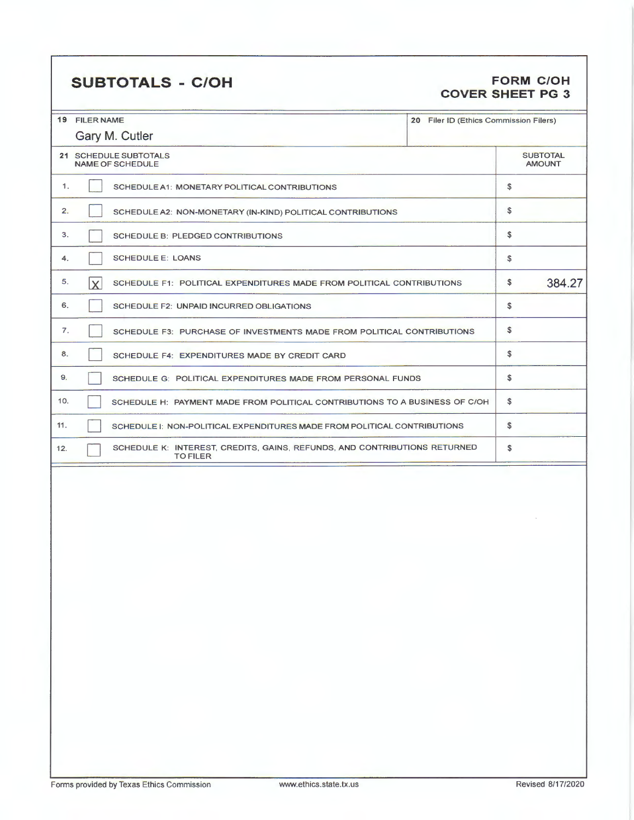## **SUBTOTALS** - **C/OH FORM C/OH**

# **COVER SHEET PG 3**

|     | 19 FILER NAME                                                                                | Filer ID (Ethics Commission Filers) |                                  |
|-----|----------------------------------------------------------------------------------------------|-------------------------------------|----------------------------------|
|     | Gary M. Cutler                                                                               |                                     |                                  |
|     | 21 SCHEDULE SUBTOTALS<br><b>NAME OF SCHEDULE</b>                                             |                                     | <b>SUBTOTAL</b><br><b>AMOUNT</b> |
| 1.  | SCHEDULE A1: MONETARY POLITICAL CONTRIBUTIONS                                                |                                     | \$                               |
| 2.  | SCHEDULE A2: NON-MONETARY (IN-KIND) POLITICAL CONTRIBUTIONS                                  |                                     | S                                |
| 3.  | <b>SCHEDULE B: PLEDGED CONTRIBUTIONS</b>                                                     |                                     | \$                               |
| 4.  | <b>SCHEDULE E: LOANS</b>                                                                     |                                     | \$                               |
| 5.  | ΙxΙ<br>SCHEDULE F1: POLITICAL EXPENDITURES MADE FROM POLITICAL CONTRIBUTIONS                 |                                     | \$<br>384.27                     |
| 6.  | SCHEDULE F2: UNPAID INCURRED OBLIGATIONS                                                     |                                     | \$                               |
| 7.  | SCHEDULE F3: PURCHASE OF INVESTMENTS MADE FROM POLITICAL CONTRIBUTIONS                       |                                     | \$                               |
| 8.  | SCHEDULE F4: EXPENDITURES MADE BY CREDIT CARD                                                |                                     | \$                               |
| 9.  | SCHEDULE G: POLITICAL EXPENDITURES MADE FROM PERSONAL FUNDS                                  |                                     | \$                               |
| 10. | SCHEDULE H: PAYMENT MADE FROM POLITICAL CONTRIBUTIONS TO A BUSINESS OF C/OH                  |                                     | S                                |
| 11. | SCHEDULE I: NON-POLITICAL EXPENDITURES MADE FROM POLITICAL CONTRIBUTIONS                     |                                     | \$                               |
| 12. | SCHEDULE K: INTEREST, CREDITS, GAINS, REFUNDS, AND CONTRIBUTIONS RETURNED<br><b>TO FILER</b> |                                     | \$                               |
|     |                                                                                              |                                     |                                  |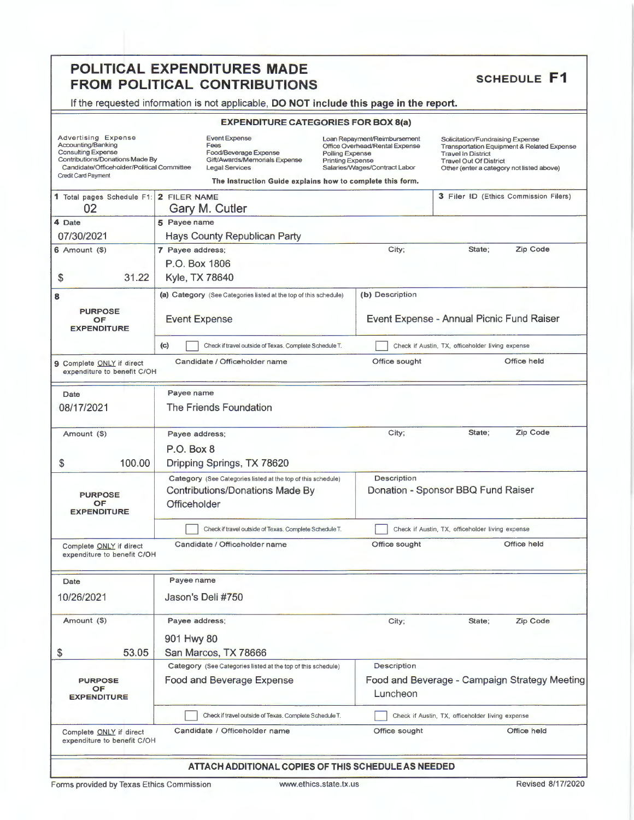# **POLITICAL EXPENDITURES MADE<br>
FROM POLITICAL CONTRIBUTIONS SCHEDULE F1**

If the requested information is not applicable, **DO NOT include this page in the report.** 

### **EXPENDITURE CATEGORIES FOR BOX S(a)**

| <b>Advertising Expense</b><br>Accounting/Banking<br><b>Consulting Expense</b><br>Contributions/Donations Made By<br>Candidate/Officeholder/Political Committee<br>Credit Card Payment | <b>Event Expense</b><br>Loan Repayment/Reimbursement<br>Fees<br>Office Overhead/Rental Expense<br>Food/Beverage Expense<br>Polling Expense<br>Gift/Awards/Memorials Expense<br><b>Printing Expense</b><br><b>Legal Services</b><br>Salaries/Wages/Contract Labor<br>The Instruction Guide explains how to complete this form. |                    | Solicitation/Fundraising Expense<br>Transportation Equipment & Related Expense<br><b>Travel In District</b><br><b>Travel Out Of District</b><br>Other (enter a category not listed above) |  |  |  |  |
|---------------------------------------------------------------------------------------------------------------------------------------------------------------------------------------|-------------------------------------------------------------------------------------------------------------------------------------------------------------------------------------------------------------------------------------------------------------------------------------------------------------------------------|--------------------|-------------------------------------------------------------------------------------------------------------------------------------------------------------------------------------------|--|--|--|--|
| 1 Total pages Schedule F1: 2 FILER NAME<br>02                                                                                                                                         | Gary M. Cutler                                                                                                                                                                                                                                                                                                                |                    | 3 Filer ID (Ethics Commission Filers)                                                                                                                                                     |  |  |  |  |
| 4 Date                                                                                                                                                                                | 5 Payee name                                                                                                                                                                                                                                                                                                                  |                    |                                                                                                                                                                                           |  |  |  |  |
| 07/30/2021                                                                                                                                                                            | <b>Hays County Republican Party</b>                                                                                                                                                                                                                                                                                           |                    |                                                                                                                                                                                           |  |  |  |  |
| $6$ Amount $($ )                                                                                                                                                                      | 7 Payee address;                                                                                                                                                                                                                                                                                                              | City;              | Zip Code<br>State;                                                                                                                                                                        |  |  |  |  |
|                                                                                                                                                                                       | P.O. Box 1806                                                                                                                                                                                                                                                                                                                 |                    |                                                                                                                                                                                           |  |  |  |  |
| 31.22<br>\$                                                                                                                                                                           | Kyle, TX 78640                                                                                                                                                                                                                                                                                                                |                    |                                                                                                                                                                                           |  |  |  |  |
| 8                                                                                                                                                                                     | (a) Category (See Categories listed at the top of this schedule)                                                                                                                                                                                                                                                              | (b) Description    |                                                                                                                                                                                           |  |  |  |  |
| <b>PURPOSE</b><br>OF<br><b>EXPENDITURE</b>                                                                                                                                            | <b>Event Expense</b>                                                                                                                                                                                                                                                                                                          |                    | Event Expense - Annual Picnic Fund Raiser                                                                                                                                                 |  |  |  |  |
|                                                                                                                                                                                       | (c)<br>Check if travel outside of Texas. Complete Schedule T.                                                                                                                                                                                                                                                                 |                    | Check if Austin, TX, officeholder living expense                                                                                                                                          |  |  |  |  |
| 9 Complete ONLY if direct<br>expenditure to benefit C/OH                                                                                                                              | Candidate / Officeholder name                                                                                                                                                                                                                                                                                                 | Office sought      | Office held                                                                                                                                                                               |  |  |  |  |
| Date                                                                                                                                                                                  | Payee name                                                                                                                                                                                                                                                                                                                    |                    |                                                                                                                                                                                           |  |  |  |  |
| 08/17/2021                                                                                                                                                                            | <b>The Friends Foundation</b>                                                                                                                                                                                                                                                                                                 |                    |                                                                                                                                                                                           |  |  |  |  |
| Amount (\$)                                                                                                                                                                           | Payee address;                                                                                                                                                                                                                                                                                                                | City;              | State:<br>Zip Code                                                                                                                                                                        |  |  |  |  |
|                                                                                                                                                                                       | $P.O.$ Box 8                                                                                                                                                                                                                                                                                                                  |                    |                                                                                                                                                                                           |  |  |  |  |
| 100.00<br>\$                                                                                                                                                                          | Dripping Springs, TX 78620                                                                                                                                                                                                                                                                                                    |                    |                                                                                                                                                                                           |  |  |  |  |
|                                                                                                                                                                                       | Category (See Categories listed at the top of this schedule)                                                                                                                                                                                                                                                                  | <b>Description</b> |                                                                                                                                                                                           |  |  |  |  |
| <b>PURPOSE</b><br>OF<br><b>EXPENDITURE</b>                                                                                                                                            | Contributions/Donations Made By<br>Officeholder                                                                                                                                                                                                                                                                               |                    | Donation - Sponsor BBQ Fund Raiser                                                                                                                                                        |  |  |  |  |
|                                                                                                                                                                                       | Check if travel outside of Texas. Complete Schedule T.                                                                                                                                                                                                                                                                        |                    | Check if Austin, TX, officeholder living expense                                                                                                                                          |  |  |  |  |
| Complete ONLY if direct<br>expenditure to benefit C/OH                                                                                                                                | Candidate / Officeholder name                                                                                                                                                                                                                                                                                                 | Office sought      | Office held                                                                                                                                                                               |  |  |  |  |
| Date                                                                                                                                                                                  | Payee name                                                                                                                                                                                                                                                                                                                    |                    |                                                                                                                                                                                           |  |  |  |  |
| 10/26/2021                                                                                                                                                                            | Jason's Deli #750                                                                                                                                                                                                                                                                                                             |                    |                                                                                                                                                                                           |  |  |  |  |
| Amount (\$)                                                                                                                                                                           | Payee address;                                                                                                                                                                                                                                                                                                                | City;              | State;<br>Zip Code                                                                                                                                                                        |  |  |  |  |
|                                                                                                                                                                                       | 901 Hwy 80                                                                                                                                                                                                                                                                                                                    |                    |                                                                                                                                                                                           |  |  |  |  |
| 53.05<br>\$                                                                                                                                                                           | San Marcos, TX 78666                                                                                                                                                                                                                                                                                                          |                    |                                                                                                                                                                                           |  |  |  |  |
|                                                                                                                                                                                       | Category (See Categories listed at the top of this schedule)                                                                                                                                                                                                                                                                  | <b>Description</b> |                                                                                                                                                                                           |  |  |  |  |
| <b>PURPOSE</b>                                                                                                                                                                        | Food and Beverage Expense                                                                                                                                                                                                                                                                                                     |                    | Food and Beverage - Campaign Strategy Meeting                                                                                                                                             |  |  |  |  |
| <b>OF</b><br><b>EXPENDITURE</b>                                                                                                                                                       |                                                                                                                                                                                                                                                                                                                               | Luncheon           |                                                                                                                                                                                           |  |  |  |  |
|                                                                                                                                                                                       | Check if travel outside of Texas. Complete Schedule T.                                                                                                                                                                                                                                                                        |                    | Check if Austin, TX, officeholder living expense                                                                                                                                          |  |  |  |  |
| Complete ONLY if direct<br>expenditure to benefit C/OH                                                                                                                                | Candidate / Officeholder name                                                                                                                                                                                                                                                                                                 | Office sought      | <b>Office held</b>                                                                                                                                                                        |  |  |  |  |
|                                                                                                                                                                                       | ATTACH ADDITIONAL COPIES OF THIS SCHEDULE AS NEEDED                                                                                                                                                                                                                                                                           |                    |                                                                                                                                                                                           |  |  |  |  |
| Forms provided by Texas Ethics Commission                                                                                                                                             | www.ethics.state.tx.us                                                                                                                                                                                                                                                                                                        |                    | Revised 8/17/2020                                                                                                                                                                         |  |  |  |  |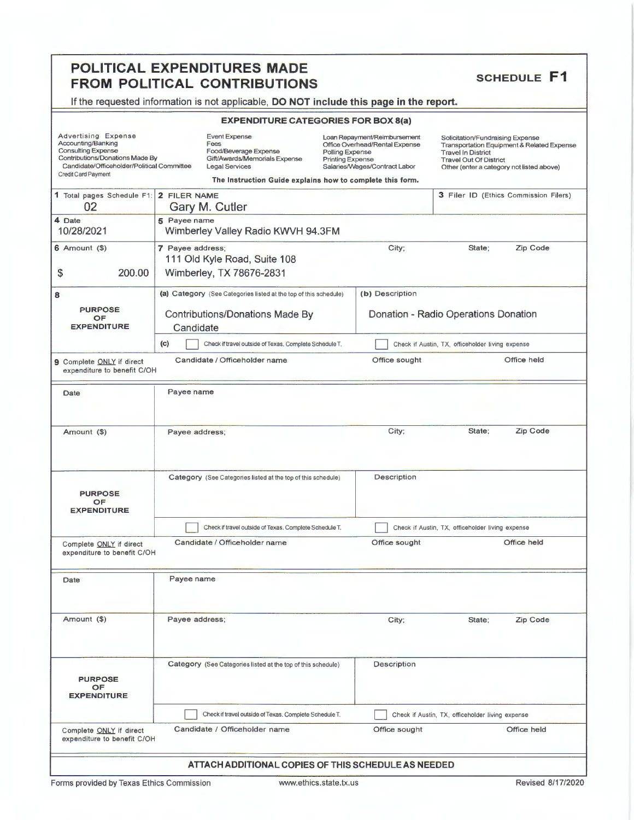# **POLITICAL EXPENDITURES MADE<br>
FROM POLITICAL CONTRIBUTIONS SCHEDULE F1**

If the requested information is not applicable, **DO NOT include this page in the report.** 

### **EXPENDITURE CATEGORIES FOR BOX 8(a)**

| Advertising Expense<br>Accounting/Banking<br><b>Consulting Expense</b><br>Contributions/Donations Made By<br>Candidate/Officeholder/Political Committee<br>Credit Card Payment | <b>Event Expense</b><br>Loan Repayment/Reimbursement<br>Fees<br>Office Overhead/Rental Expense<br>Food/Beverage Expense<br>Polling Expense<br>Gift/Awards/Memorials Expense<br><b>Printing Expense</b><br>Salaries/Wages/Contract Labor<br><b>Legal Services</b><br>The Instruction Guide explains how to complete this form. |                                                                  |                                                                                                            | <b>Travel In District</b>                        | Solicitation/Fundraising Expense<br>Transportation Equipment & Related Expense<br><b>Travel Out Of District</b><br>Other (enter a category not listed above) |                                       |  |
|--------------------------------------------------------------------------------------------------------------------------------------------------------------------------------|-------------------------------------------------------------------------------------------------------------------------------------------------------------------------------------------------------------------------------------------------------------------------------------------------------------------------------|------------------------------------------------------------------|------------------------------------------------------------------------------------------------------------|--------------------------------------------------|--------------------------------------------------------------------------------------------------------------------------------------------------------------|---------------------------------------|--|
| 1 Total pages Schedule F1: 2 FILER NAME<br>02                                                                                                                                  |                                                                                                                                                                                                                                                                                                                               | Gary M. Cutler                                                   |                                                                                                            |                                                  |                                                                                                                                                              | 3 Filer ID (Ethics Commission Filers) |  |
| 4 Date<br>10/28/2021                                                                                                                                                           | 5 Payee name                                                                                                                                                                                                                                                                                                                  | Wimberley Valley Radio KWVH 94.3FM                               |                                                                                                            |                                                  |                                                                                                                                                              |                                       |  |
| $6$ Amount $(9)$<br>200.00<br>\$                                                                                                                                               | 7 Payee address;                                                                                                                                                                                                                                                                                                              | 111 Old Kyle Road, Suite 108<br>Wimberley, TX 78676-2831         |                                                                                                            | City;                                            | State:                                                                                                                                                       | <b>Zip Code</b>                       |  |
| 8                                                                                                                                                                              |                                                                                                                                                                                                                                                                                                                               | (a) Category (See Categories listed at the top of this schedule) |                                                                                                            | (b) Description                                  |                                                                                                                                                              |                                       |  |
| <b>PURPOSE</b><br><b>OF</b><br><b>EXPENDITURE</b>                                                                                                                              | <b>Contributions/Donations Made By</b><br>Donation - Radio Operations Donation<br>Candidate                                                                                                                                                                                                                                   |                                                                  |                                                                                                            |                                                  |                                                                                                                                                              |                                       |  |
|                                                                                                                                                                                | (c)                                                                                                                                                                                                                                                                                                                           | Check if travel outside of Texas. Complete Schedule T.           |                                                                                                            | Check if Austin, TX, officeholder living expense |                                                                                                                                                              |                                       |  |
| 9 Complete ONLY if direct<br>expenditure to benefit C/OH                                                                                                                       |                                                                                                                                                                                                                                                                                                                               | Candidate / Officeholder name                                    |                                                                                                            | Office sought                                    |                                                                                                                                                              | Office held                           |  |
| Date                                                                                                                                                                           | Payee name                                                                                                                                                                                                                                                                                                                    |                                                                  |                                                                                                            |                                                  |                                                                                                                                                              |                                       |  |
| Amount (\$)                                                                                                                                                                    | Payee address;                                                                                                                                                                                                                                                                                                                |                                                                  |                                                                                                            | City;                                            | State;                                                                                                                                                       | Zip Code                              |  |
| <b>PURPOSE</b><br>OF<br><b>EXPENDITURE</b>                                                                                                                                     |                                                                                                                                                                                                                                                                                                                               | Category (See Categories listed at the top of this schedule)     |                                                                                                            | Description                                      |                                                                                                                                                              |                                       |  |
|                                                                                                                                                                                |                                                                                                                                                                                                                                                                                                                               | Check if travel outside of Texas. Complete Schedule T.           |                                                                                                            |                                                  | Check if Austin, TX, officeholder living expense                                                                                                             |                                       |  |
| Complete ONLY if direct<br>expenditure to benefit C/OH                                                                                                                         |                                                                                                                                                                                                                                                                                                                               | Candidate / Officeholder name                                    |                                                                                                            | Office sought                                    |                                                                                                                                                              | Office held                           |  |
| Date                                                                                                                                                                           | Payee name                                                                                                                                                                                                                                                                                                                    |                                                                  |                                                                                                            |                                                  |                                                                                                                                                              |                                       |  |
| Amount (\$)                                                                                                                                                                    | Payee address:                                                                                                                                                                                                                                                                                                                |                                                                  |                                                                                                            | City;                                            | State;                                                                                                                                                       | Zip Code                              |  |
| <b>PURPOSE</b><br>OF<br><b>EXPENDITURE</b>                                                                                                                                     |                                                                                                                                                                                                                                                                                                                               | Category (See Catagories listed at the top of this schedule)     |                                                                                                            | <b>Description</b>                               |                                                                                                                                                              |                                       |  |
|                                                                                                                                                                                |                                                                                                                                                                                                                                                                                                                               |                                                                  | Check if travel outside of Texas. Complete Schedule T.<br>Check if Austin, TX, officeholder living expense |                                                  |                                                                                                                                                              |                                       |  |
| Complete ONLY if direct<br>expenditure to benefit C/OH                                                                                                                         |                                                                                                                                                                                                                                                                                                                               | Candidate / Officeholder name                                    |                                                                                                            | Office sought                                    |                                                                                                                                                              | Office held                           |  |
|                                                                                                                                                                                |                                                                                                                                                                                                                                                                                                                               | ATTACH ADDITIONAL COPIES OF THIS SCHEDULE AS NEEDED              |                                                                                                            |                                                  |                                                                                                                                                              |                                       |  |

Forms provided by Texas Ethics Commission www.ethics.state.tx.us Revised 8/17/2020